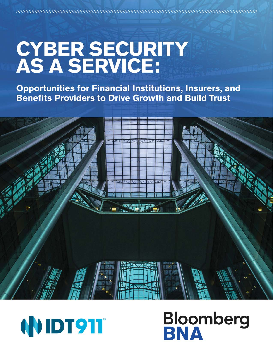# **CYBER SECURITY<br>AS A SERVICE:**

**Opportunities for Financial Institutions, Insurers, and Benefits Providers to Drive Growth and Build Trust** 





# **Bloomberg**<br>**BNA**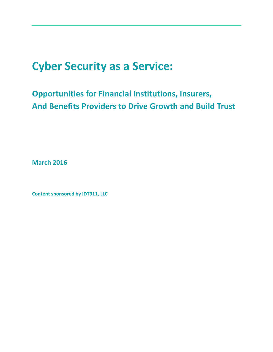# **Cyber Security as a Service:**

# **Opportunities for Financial Institutions, Insurers, And Benefits Providers to Drive Growth and Build Trust**

**March 2016**

**Content sponsored by IDT911, LLC**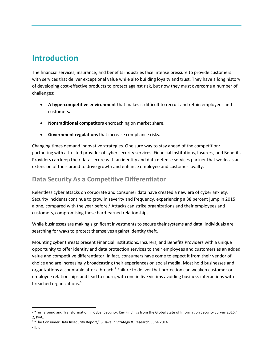## **Introduction**

The financial services, insurance, and benefits industries face intense pressure to provide customers with services that deliver exceptional value while also building loyalty and trust. They have a long history of developing cost-effective products to protect against risk, but now they must overcome a number of challenges:

- **A hypercompetitive environment** that makes it difficult to recruit and retain employees and customers**.**
- **Nontraditional competitors** encroaching on market share**.**
- **Government regulations** that increase compliance risks.

Changing times demand innovative strategies. One sure way to stay ahead of the competition: partnering with a trusted provider of cyber security services. Financial Institutions, Insurers, and Benefits Providers can keep their data secure with an identity and data defense services partner that works as an extension of their brand to drive growth and enhance employee and customer loyalty.

#### **Data Security As a Competitive Differentiator**

Relentless cyber attacks on corporate and consumer data have created a new era of cyber anxiety. Security incidents continue to grow in severity and frequency, experiencing a 38 percent jump in 2015 alone, compared with the year before.<sup>1</sup> Attacks can strike organizations and their employees and customers, compromising these hard-earned relationships.

While businesses are making significant investments to secure their systems and data, individuals are searching for ways to protect themselves against identity theft.

Mounting cyber threats present Financial Institutions, Insurers, and Benefits Providers with a unique opportunity to offer identity and data protection services to their employees and customers as an added value and competitive differentiator. In fact, consumers have come to expect it from their vendor of choice and are increasingly broadcasting their experiences on social media. Most hold businesses and organizations accountable after a breach.<sup>2</sup> Failure to deliver that protection can weaken customer or employee relationships and lead to churn, with one in five victims avoiding business interactions with breached organizations.<sup>3</sup>

 $\overline{\phantom{a}}$ <sup>1</sup> "Turnaround and Transformation in Cyber Security: Key Findings from the Global State of Information Security Survey 2016," 2, PwC.

<sup>&</sup>lt;sup>2</sup> "The Consumer Data Insecurity Report," 8, Javelin Strategy & Research, June 2014.

 $3$  Ibid.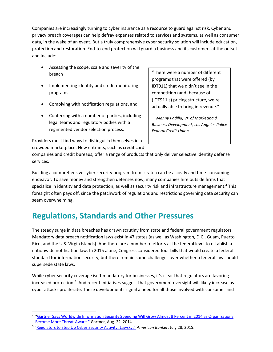Companies are increasingly turning to cyber insurance as a resource to guard against risk. Cyber and privacy breach coverages can help defray expenses related to services and systems, as well as consumer data, in the wake of an event. But a truly comprehensive cyber security solution will include education, protection and restoration. End-to-end protection will guard a business and its customers at the outset and include:

- Assessing the scope, scale and severity of the breach
- Implementing identity and credit monitoring programs
- Complying with notification regulations, and
- Conferring with a number of parties, including legal teams and regulatory bodies with a regimented vendor selection process.

"There were a number of different programs that were offered (by IDT911) that we didn't see in the competition (and) because of (IDT911's) pricing structure, we're actually able to bring in revenue."

—*Manny Padilla, VP of Marketing & Business Development, Los Angeles Police Federal Credit Union*

Providers must find ways to distinguish themselves in a

crowded marketplace. New entrants, such as credit card

companies and credit bureaus, offer a range of products that only deliver selective identity defense services.

Building a comprehensive cyber security program from scratch can be a costly and time-consuming endeavor. To save money and strengthen defenses now, many companies hire outside firms that specialize in identity and data protection, as well as security risk and infrastructure management.<sup>4</sup> This foresight often pays off, since the patchwork of regulations and restrictions governing data security can seem overwhelming.

# **Regulations, Standards and Other Pressures**

The steady surge in data breaches has drawn scrutiny from state and federal government regulators. Mandatory data breach notification laws exist in 47 states (as well as Washington, D.C., Guam, Puerto Rico, and the U.S. Virgin Islands). And there are a number of efforts at the federal level to establish a nationwide notification law. In 2015 alone, Congress considered four bills that would create a federal standard for information security, but there remain some challenges over whether a federal law should supersede state laws.

While cyber security coverage isn't mandatory for businesses, it's clear that regulators are favoring increased protection.<sup>5</sup> And recent initiatives suggest that government oversight will likely increase as cyber attacks proliferate. These developments signal a need for all those involved with consumer and

 $\overline{a}$ 

<sup>&</sup>lt;sup>4</sup> "Gartner Says Worldwide Information Security Spending Will Grow Almost 8 Percent in 2014 as Organizations [Become More Threat-Aware](http://www.gartner.com/newsroom/id/2828722)," Gartner, Aug. 22, 2014.

<sup>5</sup> "Regulators to Step Up Cyber [Security Activity: Lawsky](http://www.americanbanker.com/news/bank-technology/regulators-to-step-up-cybersecurity-activity-lawsky-1075715-1.html)," *American Banker*, July 28, 2015.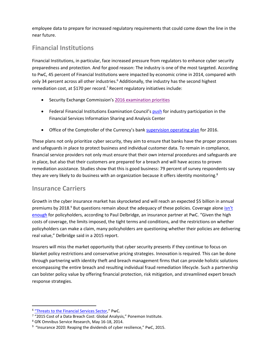employee data to prepare for increased regulatory requirements that could come down the line in the near future.

#### **Financial Institutions**

Financial Institutions, in particular, face increased pressure from regulators to enhance cyber security preparedness and protection. And for good reason: The industry is one of the most targeted. According to PwC, 45 percent of Financial Institutions were impacted by economic crime in 2014, compared with only 34 percent across all other industries.<sup>6</sup> Additionally, the industry has the second highest remediation cost, at \$170 per record.<sup>7</sup> Recent regulatory initiatives include:

- Security Exchange Commission's [2016 examination priorities](http://www.sec.gov/about/offices/ocie/national-examination-program-priorities-2016.pdf)
- Federal Financial Institutions Examination Council's [push](http://www.ffiec.gov/press/PDF/FFIEC_Cybersecurity_Statement.pdf) for industry participation in the Financial Services Information Sharing and Analysis Center
- Office of the Comptroller of the Currency's bank [supervision operating plan](http://www.occ.gov/news-issuances/news-releases/2015/nr-occ-2015-130a.pdf) for 2016.

These plans not only prioritize cyber security, they aim to ensure that banks have the proper processes and safeguards in place to protect business and individual customer data. To remain in compliance, financial service providers not only must ensure that their own internal procedures and safeguards are in place, but also that their customers are prepared for a breach and will have access to proven remediation assistance. Studies show that this is good business: 79 percent of survey respondents say they are very likely to do business with an organization because it offers identity monitoring.<sup>8</sup>

#### **Insurance Carriers**

Growth in the cyber insurance market has skyrocketed and will reach an expected \$5 billion in annual premiums by 2018. $9$  But questions remain about the adequacy of these policies. Coverage alone isn't [enough](https://www.pwc.com/ca/en/media/release/2015-09-15-cyber-insurance-market-reach-7-5-billion-2020.html) for policyholders, according to Paul Delbridge, an insurance partner at PwC. "Given the high costs of coverage, the limits imposed, the tight terms and conditions, and the restrictions on whether policyholders can make a claim, many policyholders are questioning whether their policies are delivering real value," Delbridge said in a 2015 report.

Insurers will miss the market opportunity that cyber security presents if they continue to focus on blanket policy restrictions and conservative pricing strategies. Innovation is required. This can be done through partnering with identity theft and breach management firms that can provide holistic solutions encompassing the entire breach and resulting individual fraud remediation lifecycle. Such a partnership can bolster policy value by offering financial protection, risk mitigation, and streamlined expert breach response strategies.

 $\overline{\phantom{a}}$ <sup>6</sup> "[Threats to the Financial Services Sector](https://www.pwc.com/gx/en/financial-services/publications/assets/pwc-gecs-2014-threats-to-the-financial-services-sector.pdf)," PwC.

<sup>&</sup>lt;sup>7</sup> "2015 Cost of a Data Breach Cost: Global Analysis," Ponemon Institute.

<sup>8</sup> GfK Omnibus Service Research, May 16-18, 2014.

 $9$  "Insurance 2020: Reaping the dividends of cyber resilience," PwC, 2015.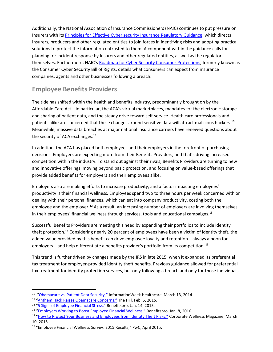Additionally, the National Association of Insurance Commissioners (NAIC) continues to put pressure on Insurers with its [Principles for Effective Cyber security](http://www.naic.org/documents/committees_ex_cybersecurity_tf_final_principles_for_cybersecurity_guidance.pdf) Insurance Regulatory Guidance, which directs Insurers, producers and other regulated entities to join forces in identifying risks and adopting practical solutions to protect the information entrusted to them. A component within the guidance calls for planning for incident response by Insurers and other regulated entities, as well as the regulators themselves. Furthermore, NAIC's Roadmap for Cyber Security [Consumer Protections,](http://www.naic.org/documents/committees_ex_cybersecurity_tf_related_roadmap_cybersecurity_consumer_protections.pdf) formerly known as the Consumer Cyber Security Bill of Rights, details what consumers can expect from insurance companies, agents and other businesses following a breach.

#### **Employee Benefits Providers**

The tide has shifted within the health and benefits industry, predominantly brought on by the Affordable Care Act—in particular, the ACA's virtual marketplaces, mandates for the electronic storage and sharing of patient data, and the steady drive toward self-service. Health care professionals and patients alike are concerned that these changes around sensitive data will attract malicious hackers.<sup>10</sup> Meanwhile, massive data breaches at major national insurance carriers have renewed questions about the security of ACA exchanges.<sup>11</sup>

In addition, the ACA has placed both employees and their employers in the forefront of purchasing decisions. Employers are expecting more from their Benefits Providers, and that's driving increased competition within the industry. To stand out against their rivals, Benefits Providers are turning to new and innovative offerings, moving beyond basic protection, and focusing on value-based offerings that provide added benefits for employers and their employees alike.

Employers also are making efforts to increase productivity, and a factor impacting employees' productivity is their financial wellness. Employees spend two to three hours per week concerned with or dealing with their personal finances, which can eat into company productivity, costing both the employee and the employer.<sup>12</sup> As a result, an increasing number of employers are involving themselves in their employees' financial wellness through services, tools and educational campaigns.<sup>13</sup>

Successful Benefits Providers are meeting this need by expanding their portfolios to include identity theft protection.<sup>14</sup> Considering nearly 20 percent of employees have been a victim of identity theft, the added value provided by this benefit can drive employee loyalty and retention—always a boon for employers—and help differentiate a benefits provider's portfolio from its competition. <sup>15</sup>

This trend is further driven by changes made by the IRS in late 2015, when it expanded its preferential tax treatment for employer-provided identity theft benefits. Previous guidance allowed for preferential tax treatment for identity protection services, but only following a breach and only for those individuals

 $\overline{\phantom{a}}$ 

<sup>&</sup>lt;sup>10</sup> "[Obamacare vs. Patient Data Security](http://www.informationweek.com/healthcare/security-and-privacy/obamacare-vs-patient-data-security-ponemon-research/d/d-id/1127663)," InformationWeek Healthcare, March 13, 2014.

<sup>&</sup>lt;sup>11</sup> "[Anthem Hack Raises Obamacare Concerns](http://thehill.com/policy/cybersecurity/231956-anthem-hack-raises-obamacare-concerns)," The Hill, Feb. 5, 2015.

<sup>&</sup>lt;sup>12</sup> ["5 Signs of Employee Financial Stress,"](http://www.benefitspro.com/2016/01/14/5-signs-of-employee-financial-stress?eNL=569828d0140ba09d162d50ed&utm_source=BPro_Daily&utm_medium=EMC-Email_editorial&utm_campaign=01152016&_LID=182522216&t=c-suite&page=5) Benefitspro, Jan. 14, 2015.

<sup>&</sup>lt;sup>13</sup> ["Employers Working to Boost Employee Financial Wellness,"](http://www.benefitspro.com/2016/01/08/employers-working-to-boost-employee-financial-well?slreturn=1455072007) Benefitspro, Jan. 8, 2016

<sup>&</sup>lt;sup>14</sup> "[How to Protect Your Business and Employees from Identity Theft Risks](http://www.corporatewellnessmagazine.com/column/how-to-protect-your-business-and-employees-from-identity-theft-risks/)," Corporate Wellness Magazine, March 10, 2015*.*

<sup>15</sup> "Employee Financial Wellness Survey: 2015 Results," PwC, April 2015.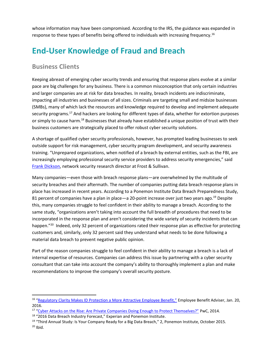whose information may have been compromised. According to the IRS, the guidance was expanded in response to these types of benefits being offered to individuals with increasing frequency.<sup>16</sup>

# **End-User Knowledge of Fraud and Breach**

#### **Business Clients**

 $\overline{\phantom{a}}$ 

Keeping abreast of emerging cyber security trends and ensuring that response plans evolve at a similar pace are big challenges for any business. There is a common misconception that only certain industries and larger companies are at risk for data breaches. In reality, breach incidents are indiscriminate, impacting all industries and businesses of all sizes. Criminals are targeting small and midsize businesses (SMBs), many of which lack the resources and knowledge required to develop and implement adequate security programs.<sup>17</sup> And hackers are looking for different types of data, whether for extortion purposes or simply to cause harm.<sup>18</sup> Businesses that already have established a unique position of trust with their business customers are strategically placed to offer robust cyber security solutions.

A shortage of qualified cyber security professionals, however, has prompted leading businesses to seek outside support for risk management, cyber security program development, and security awareness training. "Unprepared organizations, when notified of a breach by external entities, such as the FBI, are increasingly employing professional security service providers to address security emergencies," said [Frank Dickson,](http://ww2.frost.com/news/press-releases/north-american-professional-security-service-providers-benefit-growing-threat-landscape/) network security research director at Frost & Sullivan.

Many companies—even those with breach response plans—are overwhelmed by the multitude of security breaches and their aftermath. The number of companies putting data breach response plans in place has increased in recent years. According to a Ponemon Institute Data Breach Preparedness Study, 81 percent of companies have a plan in place—a 20-point increase over just two years ago.<sup>19</sup> Despite this, many companies struggle to feel confident in their ability to manage a breach. According to the same study, "organizations aren't taking into account the full breadth of procedures that need to be incorporated in the response plan and aren't considering the wide variety of security incidents that can happen."<sup>20</sup> Indeed, only 32 percent of organizations rated their response plan as effective for protecting customers and, similarly, only 32 percent said they understand what needs to be done following a material data breach to prevent negative public opinion.

Part of the reason companies struggle to feel confident in their ability to manage a breach is a lack of internal expertise of resources. Companies can address this issue by partnering with a cyber security consultant that can take into account the company's ability to thoroughly implement a plan and make recommendations to improve the company's overall security posture.

<sup>&</sup>lt;sup>16</sup> ["Regulatory Clarity Makes ID Protection a More Attractive Employee Benefit,"](http://www.employeebenefitadviser.com/news/regulatory-clarity-makes-id-protection-a-more-attractive-employee-benefit) Employee Benefit Adviser, Jan. 20, 2016.

<sup>&</sup>lt;sup>17</sup> ["Cyber Attacks on the Rise: Are Private Companies Doing Enough to Protect Themselves?"](https://www.pwc.com/us/en/private-company-services/publications/assets/pwc-gyb-cybersecurity.pdf) PwC, 2014.

<sup>&</sup>lt;sup>18</sup> "2016 Data Breach Industry Forecast," Experian and Ponemon Institute.

<sup>&</sup>lt;sup>19</sup> "Third Annual Study: Is Your Company Ready for a Big Data Breach," 2, Ponemon Institute, October 2015.  $20$  Ibid.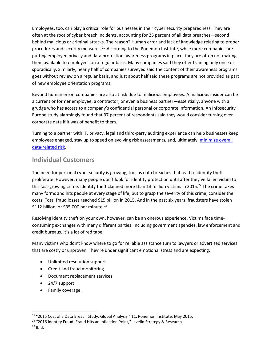Employees, too, can play a critical role for businesses in their cyber security preparedness. They are often at the root of cyber breach incidents, accounting for 25 percent of all data breaches—second behind malicious or criminal attacks. The reason? Human error and lack of knowledge relating to proper procedures and security measures.<sup>21</sup> According to the Ponemon Institute, while more companies are putting employee privacy and data protection awareness programs in place, they are often not making them available to employees on a regular basis. Many companies said they offer training only once or sporadically. Similarly, nearly half of companies surveyed said the content of their awareness programs goes without review on a regular basis, and just about half said these programs are not provided as part of new employee orientation programs.

Beyond human error, companies are also at risk due to malicious employees. A malicious insider can be a current or former employee, a contractor, or even a business partner—essentially, anyone with a grudge who has access to a company's confidential personal or corporate information. An Infosecurity Europe study alarmingly found that 37 percent of respondents said they would consider turning over corporate data if it was of benefit to them.

Turning to a partner with IT, privacy, legal and third-party auditing experience can help businesses keep employees engaged, stay up to speed on evolving risk assessments, and, ultimately, [minimize](http://info.idt911.com/bloomberg-webinar-gate1.) overall [data-related risk.](http://info.idt911.com/bloomberg-webinar-gate1.)

#### **Individual Customers**

The need for personal cyber security is growing, too, as data breaches that lead to identity theft proliferate. However, many people don't look for identity protection until after they've fallen victim to this fast-growing crime. Identity theft claimed more than 13 million victims in 2015.<sup>22</sup> The crime takes many forms and hits people at every stage of life, but to grasp the severity of this crime, consider the costs: Total fraud losses reached \$15 billion in 2015. And in the past six years, fraudsters have stolen \$112 billion, or \$35,000 per minute. 23

Resolving identity theft on your own, however, can be an onerous experience. Victims face timeconsuming exchanges with many different parties, including government agencies, law enforcement and credit bureaus. It's a lot of red tape.

Many victims who don't know where to go for reliable assistance turn to lawyers or advertised services that are costly or unproven. They're under significant emotional stress and are expecting:

- Unlimited resolution support
- Credit and fraud monitoring
- Document replacement services
- 24/7 support
- Family coverage.

 $\overline{a}$ 

<sup>&</sup>lt;sup>21</sup> "2015 Cost of a Data Breach Study: Global Analysis," 11, Ponemon Institute, May 2015.

<sup>&</sup>lt;sup>22</sup> "2016 Identity Fraud: Fraud Hits an Inflection Point," Javelin Strategy & Research.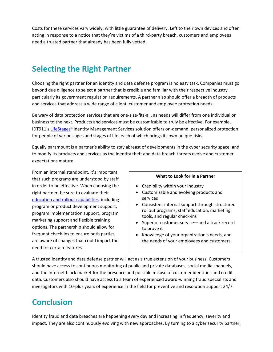Costs for these services vary widely, with little guarantee of delivery. Left to their own devices and often acting in response to a notice that they're victims of a third-party breach, customers and employees need a trusted partner that already has been fully vetted.

# **Selecting the Right Partner**

Choosing the right partner for an identity and data defense program is no easy task. Companies must go beyond due diligence to select a partner that is credible and familiar with their respective industry particularly its government regulation requirements. A partner also should offer a breadth of products and services that address a wide range of client, customer and employee protection needs.

Be wary of data protection services that are one-size-fits-all, as needs will differ from one individual or business to the next. Products and services must be customizable to truly be effective. For example, IDT911's [LifeStages](http://www.idt911.com/en/LifeStagesIdentityManagement/LifeStagesIntro.aspx)**®** Identity Management Services solution offers on-demand, personalized protection for people of various ages and stages of life, each of which brings its own unique risks.

Equally paramount is a partner's ability to stay abreast of developments in the cyber security space, and to modify its products and services as the identity theft and data breach threats evolve and customer expectations mature.

From an internal standpoint, it's important that such programs are understood by staff in order to be effective. When choosing the right partner, be sure to evaluate their [education and rollout capabilities,](http://idt911.com/products/datariskstages) including program or product development support, program implementation support, program marketing support and flexible training options. The partnership should allow for frequent check-ins to ensure both parties are aware of changes that could impact the need for certain features.

#### **What to Look for in a Partner**

- Credibility within your industry
- Customizable and evolving products and services
- Consistent internal support through structured rollout programs, staff education, marketing tools, and regular check-ins
- Superior customer service—and a track record to prove it
- Knowledge of your organization's needs, and the needs of your employees and customers

A trusted identity and data defense partner will act as a true extension of your business. Customers should have access to continuous monitoring of public and private databases, social media channels, and the Internet black market for the presence and possible misuse of customer identities and credit data. Customers also should have access to a team of experienced award-winning fraud specialists and investigators with 10-plus years of experience in the field for preventive and resolution support 24/7.

# **Conclusion**

Identity fraud and data breaches are happening every day and increasing in frequency, severity and impact. They are also continuously evolving with new approaches. By turning to a cyber security partner,